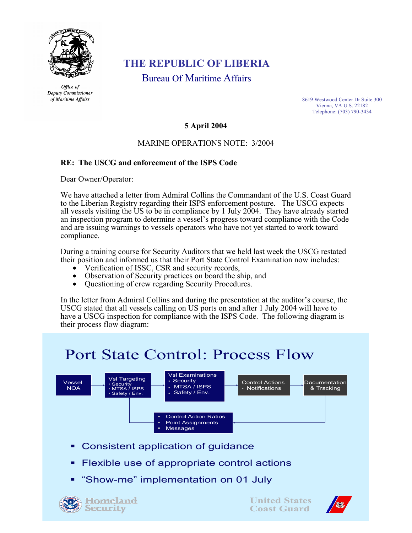

Office of Deputy Commissioner of Maritime Affairs

## **THE REPUBLIC OF LIBERIA**

Bureau Of Maritime Affairs

8619 Westwood Center Dr Suite 300 Vienna, VA U.S. 22182 Telephone: (703) 790-3434

#### **5 April 2004**

### MARINE OPERATIONS NOTE: 3/2004

### **RE: The USCG and enforcement of the ISPS Code**

Dear Owner/Operator:

We have attached a letter from Admiral Collins the Commandant of the U.S. Coast Guard to the Liberian Registry regarding their ISPS enforcement posture. The USCG expects all vessels visiting the US to be in compliance by 1 July 2004. They have already started an inspection program to determine a vessel's progress toward compliance with the Code and are issuing warnings to vessels operators who have not yet started to work toward compliance.

During a training course for Security Auditors that we held last week the USCG restated Their position and informed us that their Port State Control Examination now includes:<br>
• Verification of ISSC, CSR and security records,<br>
• Observation of Security practices on board the ship, and<br>
• Questioning of crew r

- 
- 
- 

In the letter from Admiral Collins and during the presentation at the auditor's course, the USCG stated that all vessels calling on US ports on and after 1 July 2004 will have to have a USCG inspection for compliance with the ISPS Code. The following diagram is their process flow diagram:

# Port State Control: Process Flow



- Consistent application of guidance
- Flexible use of appropriate control actions
- "Show-me" implementation on 01 July





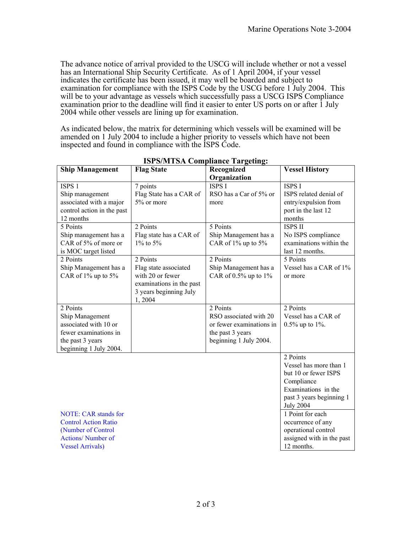The advance notice of arrival provided to the USCG will include whether or not a vessel has an International Ship Security Certificate. As of 1 April 2004, if your vessel indicates the certificate has been issued, it may well be boarded and subject to examination for compliance with the ISPS Code by the USCG before 1 July 2004. This will be to your advantage as vessels which successfully pass a USCG ISPS Compliance examination prior to the deadline will find it easier to enter US ports on or after 1 July 2004 while other vessels are lining up for examination.

As indicated below, the matrix for determining which vessels will be examined will be amended on 1 July 2004 to include a higher priority to vessels which have not been inspected and found in compliance with the ISPS Code.

| <b>Ship Management</b>      | <b>Flag State</b>        | Recognized                 | <b>Vessel History</b>     |
|-----------------------------|--------------------------|----------------------------|---------------------------|
|                             |                          | Organization               |                           |
| ISPS <sub>1</sub>           | 7 points                 | <b>ISPS I</b>              | <b>ISPS I</b>             |
| Ship management             | Flag State has a CAR of  | RSO has a Car of 5% or     | ISPS related denial of    |
| associated with a major     | 5% or more               | more                       | entry/expulsion from      |
| control action in the past  |                          |                            | port in the last 12       |
| 12 months                   |                          |                            | months                    |
| 5 Points                    | 2 Points                 | 5 Points                   | <b>ISPS II</b>            |
| Ship management has a       | Flag state has a CAR of  | Ship Management has a      | No ISPS compliance        |
| CAR of 5% of more or        | $1\%$ to 5%              | CAR of 1% up to 5%         | examinations within the   |
| is MOC target listed        |                          |                            | last 12 months.           |
| 2 Points                    | 2 Points                 | 2 Points                   | 5 Points                  |
| Ship Management has a       | Flag state associated    | Ship Management has a      | Vessel has a CAR of 1%    |
| CAR of 1% up to 5%          | with 20 or fewer         | CAR of $0.5\%$ up to $1\%$ | or more                   |
|                             | examinations in the past |                            |                           |
|                             | 3 years beginning July   |                            |                           |
|                             | 1,2004                   |                            |                           |
| 2 Points                    |                          | 2 Points                   | 2 Points                  |
| Ship Management             |                          | RSO associated with 20     | Vessel has a CAR of       |
| associated with 10 or       |                          | or fewer examinations in   | $0.5\%$ up to 1%.         |
| fewer examinations in       |                          | the past 3 years           |                           |
| the past 3 years            |                          | beginning 1 July 2004.     |                           |
| beginning 1 July 2004.      |                          |                            |                           |
|                             |                          |                            | 2 Points                  |
|                             |                          |                            | Vessel has more than 1    |
|                             |                          |                            | but 10 or fewer ISPS      |
|                             |                          |                            | Compliance                |
|                             |                          |                            | Examinations in the       |
|                             |                          |                            | past 3 years beginning 1  |
|                             |                          |                            | <b>July 2004</b>          |
| <b>NOTE: CAR stands for</b> |                          |                            | 1 Point for each          |
| <b>Control Action Ratio</b> |                          |                            | occurrence of any         |
| (Number of Control          |                          |                            | operational control       |
| <b>Actions/</b> Number of   |                          |                            | assigned with in the past |
| <b>Vessel Arrivals)</b>     |                          |                            | 12 months.                |

### **ISPS/MTSA Compliance Targeting:**